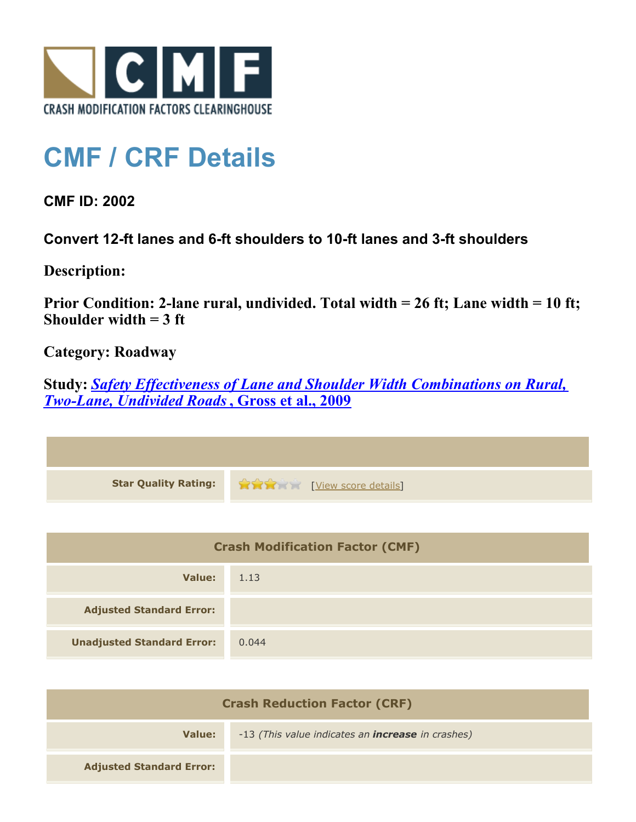

## **CMF / CRF Details**

**CMF ID: 2002**

**Convert 12-ft lanes and 6-ft shoulders to 10-ft lanes and 3-ft shoulders**

**Description:** 

**Prior Condition: 2-lane rural, undivided. Total width = 26 ft; Lane width = 10 ft; Shoulder width = 3 ft**

**Category: Roadway**

**Study:** *[Safety Effectiveness of Lane and Shoulder Width Combinations on Rural,](http://www.cmfclearinghouse.org/study_detail.cfm?stid=114) [Two-Lane, Undivided Roads](http://www.cmfclearinghouse.org/study_detail.cfm?stid=114)***[, Gross et al., 2009](http://www.cmfclearinghouse.org/study_detail.cfm?stid=114)**

| Star Quality Rating: 1999 [View score details] |
|------------------------------------------------|

| <b>Crash Modification Factor (CMF)</b> |       |
|----------------------------------------|-------|
| Value:                                 | 1.13  |
| <b>Adjusted Standard Error:</b>        |       |
| <b>Unadjusted Standard Error:</b>      | 0.044 |

| <b>Crash Reduction Factor (CRF)</b> |                                                          |
|-------------------------------------|----------------------------------------------------------|
| Value:                              | -13 (This value indicates an <b>increase</b> in crashes) |
| <b>Adjusted Standard Error:</b>     |                                                          |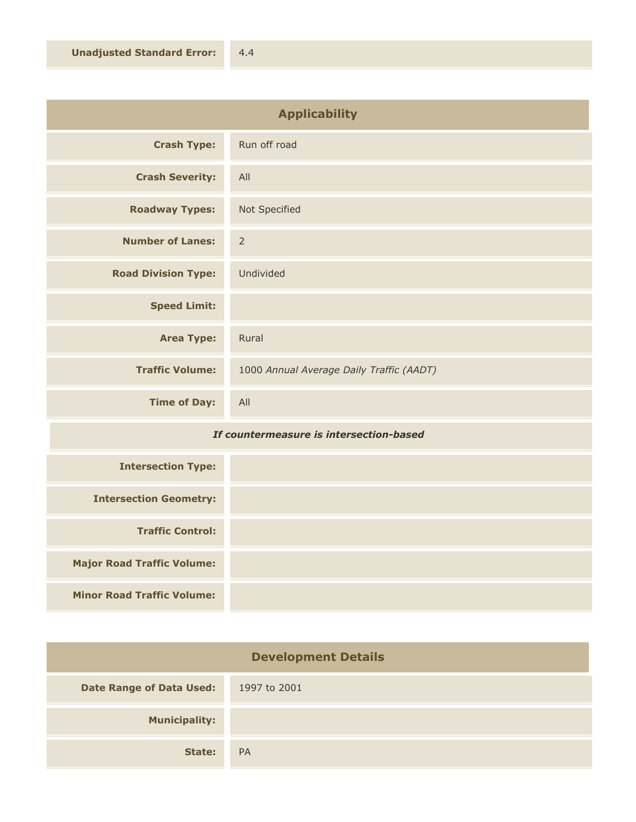| <b>Applicability</b>       |                                          |
|----------------------------|------------------------------------------|
| <b>Crash Type:</b>         | Run off road                             |
| <b>Crash Severity:</b>     | All                                      |
| <b>Roadway Types:</b>      | Not Specified                            |
| <b>Number of Lanes:</b>    | $\overline{2}$                           |
| <b>Road Division Type:</b> | Undivided                                |
| <b>Speed Limit:</b>        |                                          |
| <b>Area Type:</b>          | Rural                                    |
| <b>Traffic Volume:</b>     | 1000 Annual Average Daily Traffic (AADT) |
| <b>Time of Day:</b>        | All                                      |

## *If countermeasure is intersection-based*

| <b>Intersection Type:</b>         |  |
|-----------------------------------|--|
| <b>Intersection Geometry:</b>     |  |
| <b>Traffic Control:</b>           |  |
| <b>Major Road Traffic Volume:</b> |  |
| <b>Minor Road Traffic Volume:</b> |  |

| <b>Development Details</b>      |              |
|---------------------------------|--------------|
| <b>Date Range of Data Used:</b> | 1997 to 2001 |
| <b>Municipality:</b>            |              |
| State:                          | <b>PA</b>    |